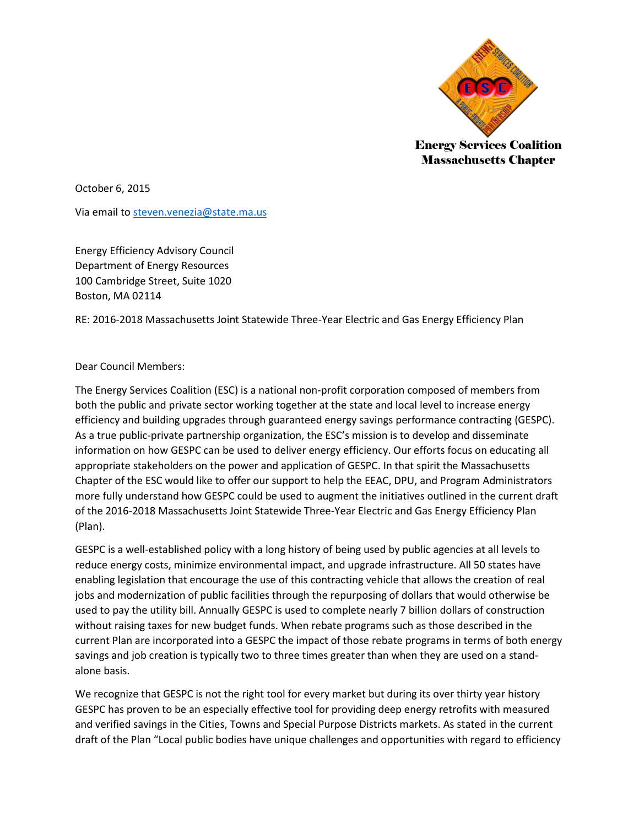

Energy Services Coalition Massachusetts Chapter

October 6, 2015

Via email t[o steven.venezia@state.ma.us](mailto:steven.venezia@state.ma.us)

Energy Efficiency Advisory Council Department of Energy Resources 100 Cambridge Street, Suite 1020 Boston, MA 02114

RE: 2016-2018 Massachusetts Joint Statewide Three-Year Electric and Gas Energy Efficiency Plan

## Dear Council Members:

The Energy Services Coalition (ESC) is a national non-profit corporation composed of members from both the public and private sector working together at the state and local level to increase energy efficiency and building upgrades through guaranteed energy savings performance contracting (GESPC). As a true public-private partnership organization, the ESC's mission is to develop and disseminate information on how GESPC can be used to deliver energy efficiency. Our efforts focus on educating all appropriate stakeholders on the power and application of GESPC. In that spirit the Massachusetts Chapter of the ESC would like to offer our support to help the EEAC, DPU, and Program Administrators more fully understand how GESPC could be used to augment the initiatives outlined in the current draft of the 2016-2018 Massachusetts Joint Statewide Three-Year Electric and Gas Energy Efficiency Plan (Plan).

GESPC is a well-established policy with a long history of being used by public agencies at all levels to reduce energy costs, minimize environmental impact, and upgrade infrastructure. All 50 states have enabling legislation that encourage the use of this contracting vehicle that allows the creation of real jobs and modernization of public facilities through the repurposing of dollars that would otherwise be used to pay the utility bill. Annually GESPC is used to complete nearly 7 billion dollars of construction without raising taxes for new budget funds. When rebate programs such as those described in the current Plan are incorporated into a GESPC the impact of those rebate programs in terms of both energy savings and job creation is typically two to three times greater than when they are used on a standalone basis.

We recognize that GESPC is not the right tool for every market but during its over thirty year history GESPC has proven to be an especially effective tool for providing deep energy retrofits with measured and verified savings in the Cities, Towns and Special Purpose Districts markets. As stated in the current draft of the Plan "Local public bodies have unique challenges and opportunities with regard to efficiency